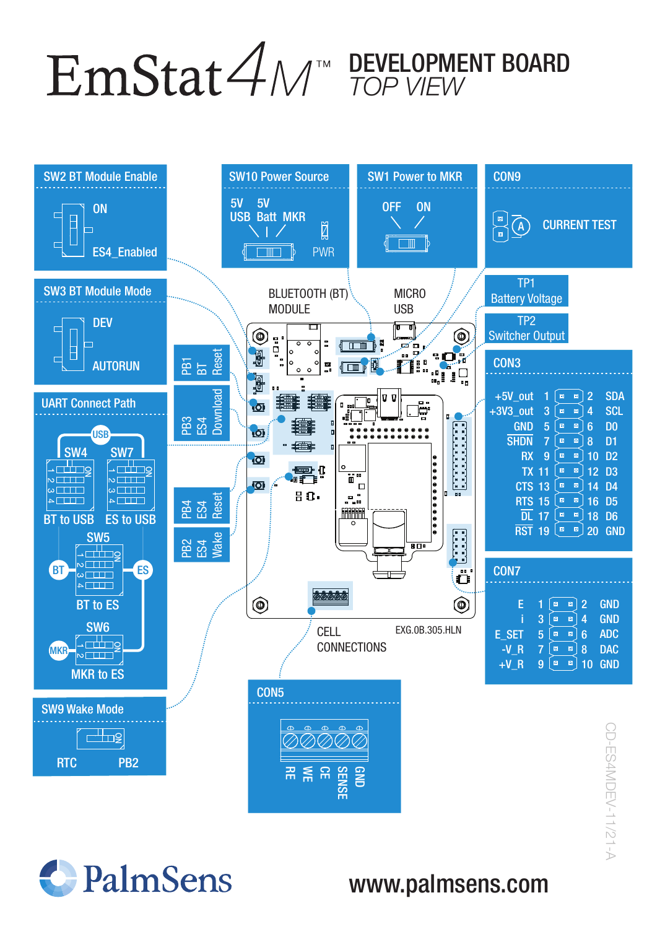DEVELOPMENT BOARD TOP VIEW



SP-ES4MDEV-11/21-A CD-ES4MDEV-11/21-A



## www.palmsens.com